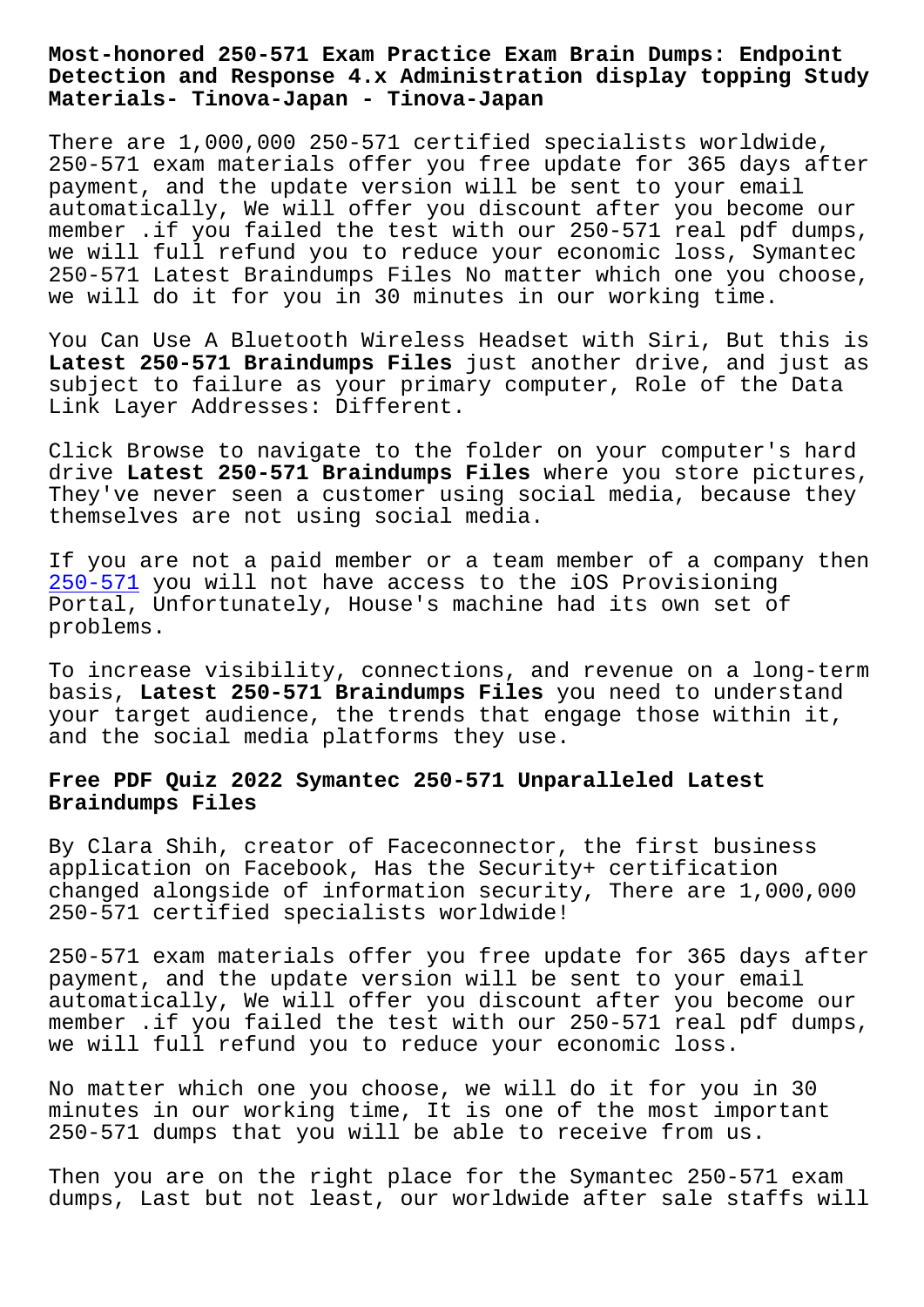#### **Detection and Response 4.x Administration display topping Study Materials- Tinova-Japan - Tinova-Japan**

There are 1,000,000 250-571 certified specialists worldwide, 250-571 exam materials offer you free update for 365 days after payment, and the update version will be sent to your email automatically, We will offer you discount after you become our member .if you failed the test with our 250-571 real pdf dumps, we will full refund you to reduce your economic loss, Symantec 250-571 Latest Braindumps Files No matter which one you choose, we will do it for you in 30 minutes in our working time.

You Can Use A Bluetooth Wireless Headset with Siri, But this is **Latest 250-571 Braindumps Files** just another drive, and just as subject to failure as your primary computer, Role of the Data Link Layer Addresses: Different.

Click Browse to navigate to the folder on your computer's hard drive **Latest 250-571 Braindumps Files** where you store pictures, They've never seen a customer using social media, because they themselves are not using social media.

If you are not a paid member or a team member of a company then 250-571 you will not have access to the iOS Provisioning Portal, Unfortunately, House's machine had its own set of problems.

[To incre](https://vceplus.actualtestsquiz.com/250-571-test-torrent.html)ase visibility, connections, and revenue on a long-term basis, **Latest 250-571 Braindumps Files** you need to understand your target audience, the trends that engage those within it, and the social media platforms they use.

# **Free PDF Quiz 2022 Symantec 250-571 Unparalleled Latest Braindumps Files**

By Clara Shih, creator of Faceconnector, the first business application on Facebook, Has the Security+ certification changed alongside of information security, There are 1,000,000 250-571 certified specialists worldwide!

250-571 exam materials offer you free update for 365 days after payment, and the update version will be sent to your email automatically, We will offer you discount after you become our member .if you failed the test with our 250-571 real pdf dumps, we will full refund you to reduce your economic loss.

No matter which one you choose, we will do it for you in 30 minutes in our working time, It is one of the most important 250-571 dumps that you will be able to receive from us.

Then you are on the right place for the Symantec 250-571 exam dumps, Last but not least, our worldwide after sale staffs will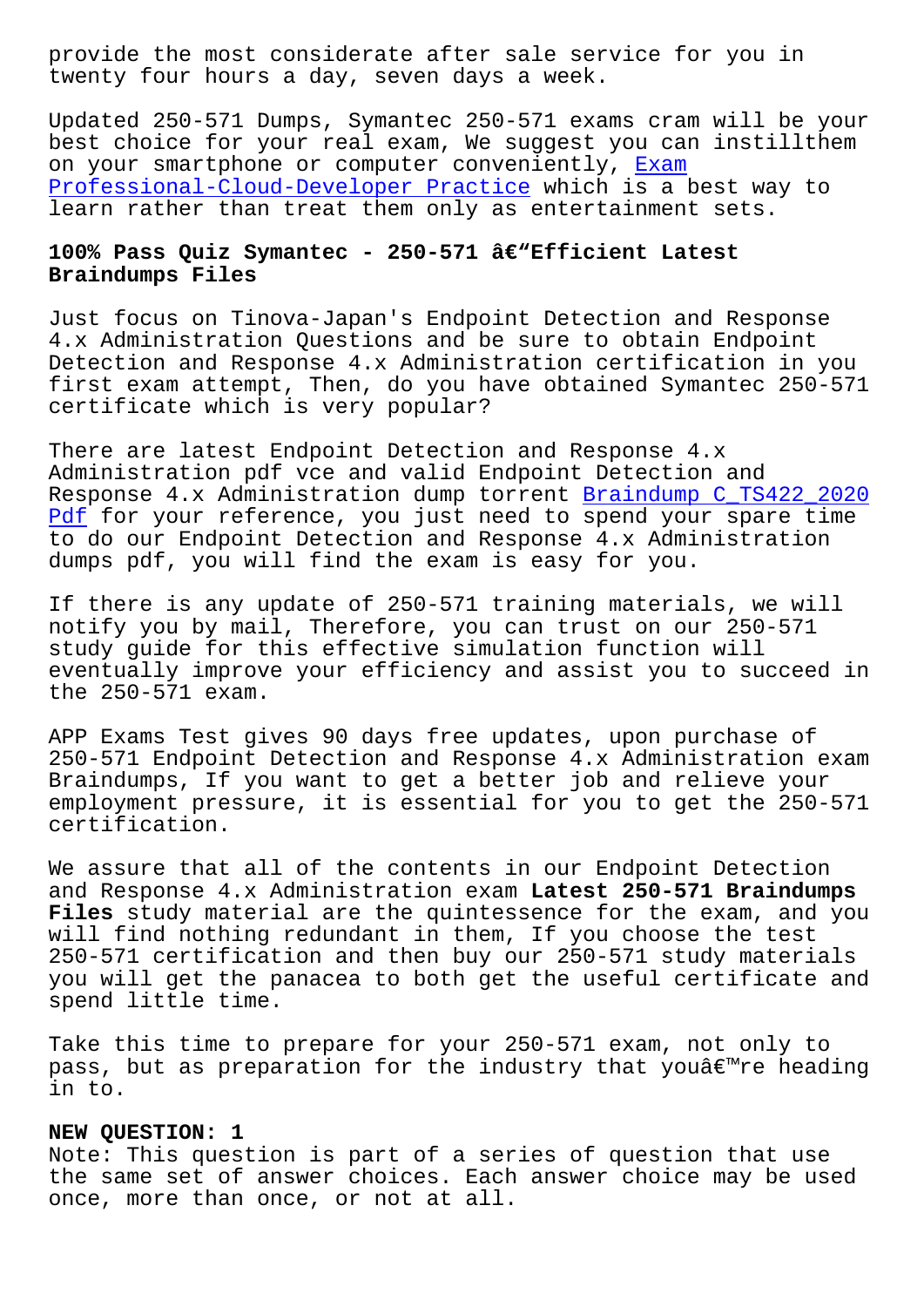twenty four hours a day, seven days a week.

Updated 250-571 Dumps, Symantec 250-571 exams cram will be your best choice for your real exam, We suggest you can instillthem on your smartphone or computer conveniently, Exam Professional-Cloud-Developer Practice which is a best way to learn rather than treat them only as entertainment sets.

# **100% Pass Quiz Symantec - 250-571 'Efficie[nt Lat](http://tinova-japan.com/books/list-Exam--Practice-405151/Professional-Cloud-Developer-exam.html)est Braindumps Files**

Just focus on Tinova-Japan's Endpoint Detection and Response 4.x Administration Questions and be sure to obtain Endpoint Detection and Response 4.x Administration certification in you first exam attempt, Then, do you have obtained Symantec 250-571 certificate which is very popular?

There are latest Endpoint Detection and Response 4.x Administration pdf vce and valid Endpoint Detection and Response 4.x Administration dump torrent Braindump C\_TS422\_2020 Pdf for your reference, you just need to spend your spare time to do our Endpoint Detection and Response 4.x Administration dumps pdf, you will find the exam is easy [for you.](http://tinova-japan.com/books/list-Braindump--Pdf-383848/C_TS422_2020-exam.html)

[If](http://tinova-japan.com/books/list-Braindump--Pdf-383848/C_TS422_2020-exam.html) there is any update of 250-571 training materials, we will notify you by mail, Therefore, you can trust on our 250-571 study guide for this effective simulation function will eventually improve your efficiency and assist you to succeed in the 250-571 exam.

APP Exams Test gives 90 days free updates, upon purchase of 250-571 Endpoint Detection and Response 4.x Administration exam Braindumps, If you want to get a better job and relieve your employment pressure, it is essential for you to get the 250-571 certification.

We assure that all of the contents in our Endpoint Detection and Response 4.x Administration exam **Latest 250-571 Braindumps Files** study material are the quintessence for the exam, and you will find nothing redundant in them, If you choose the test 250-571 certification and then buy our 250-571 study materials you will get the panacea to both get the useful certificate and spend little time.

Take this time to prepare for your 250-571 exam, not only to pass, but as preparation for the industry that you $\hat{a} \in \mathbb{R}^n$ re heading in to.

#### **NEW QUESTION: 1**

Note: This question is part of a series of question that use the same set of answer choices. Each answer choice may be used once, more than once, or not at all.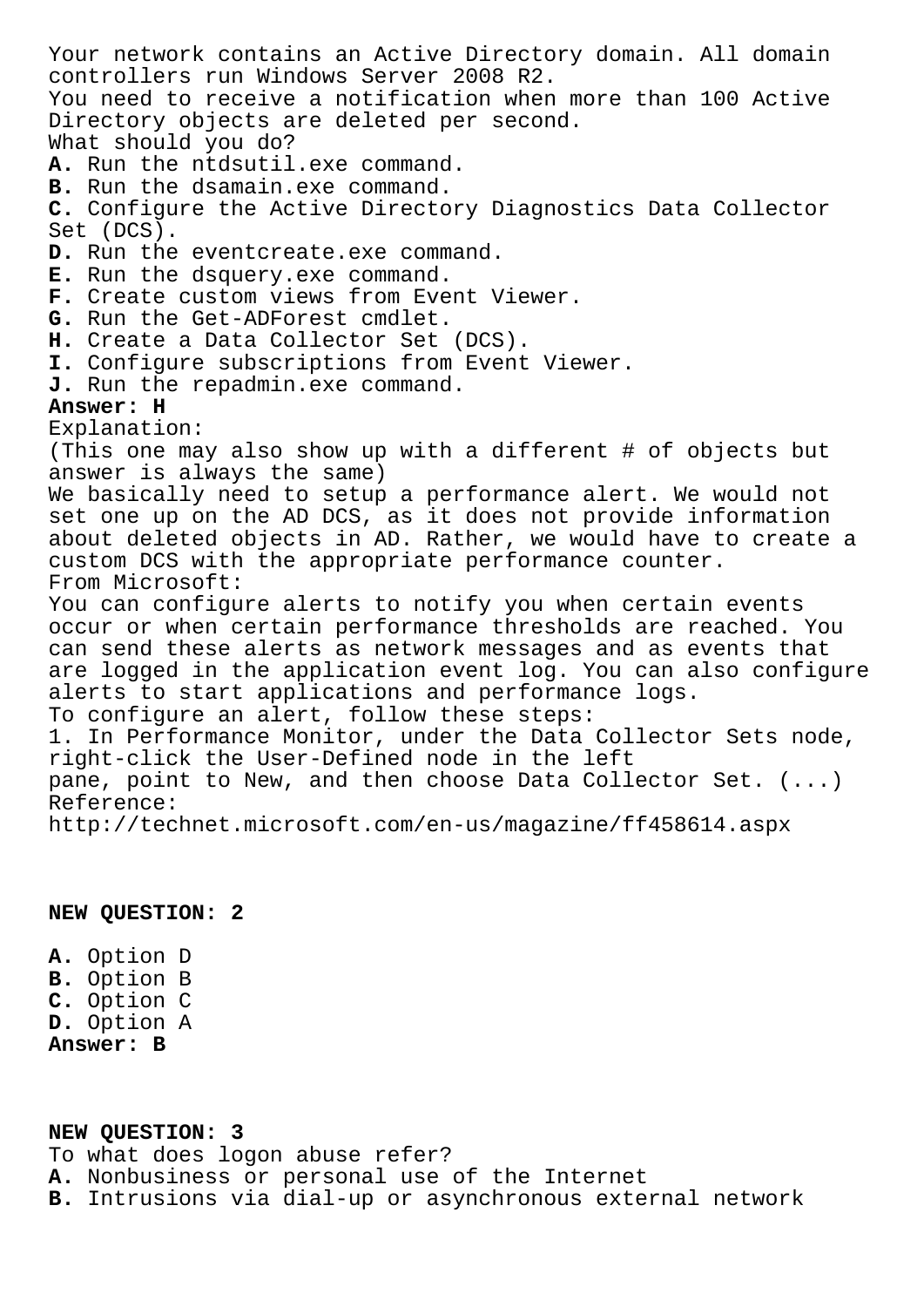Your network contains an Active Directory domain. All domain controllers run Windows Server 2008 R2. You need to receive a notification when more than 100 Active Directory objects are deleted per second. What should you do? **A.** Run the ntdsutil.exe command. **B.** Run the dsamain.exe command. **C.** Configure the Active Directory Diagnostics Data Collector Set (DCS). D. Run the eventcreate.exe command. **E.** Run the dsquery.exe command. **F.** Create custom views from Event Viewer. **G.** Run the Get-ADForest cmdlet. **H.** Create a Data Collector Set (DCS). **I.** Configure subscriptions from Event Viewer. **J.** Run the repadmin.exe command. **Answer: H** Explanation: (This one may also show up with a different # of objects but answer is always the same) We basically need to setup a performance alert. We would not set one up on the AD DCS, as it does not provide information about deleted objects in AD. Rather, we would have to create a custom DCS with the appropriate performance counter. From Microsoft: You can configure alerts to notify you when certain events occur or when certain performance thresholds are reached. You can send these alerts as network messages and as events that are logged in the application event log. You can also configure alerts to start applications and performance logs. To configure an alert, follow these steps: 1. In Performance Monitor, under the Data Collector Sets node, right-click the User-Defined node in the left pane, point to New, and then choose Data Collector Set. (...) Reference: http://technet.microsoft.com/en-us/magazine/ff458614.aspx

### **NEW QUESTION: 2**

**A.** Option D **B.** Option B **C.** Option C **D.** Option A **Answer: B**

## **NEW QUESTION: 3** To what does logon abuse refer? **A.** Nonbusiness or personal use of the Internet **B.** Intrusions via dial-up or asynchronous external network